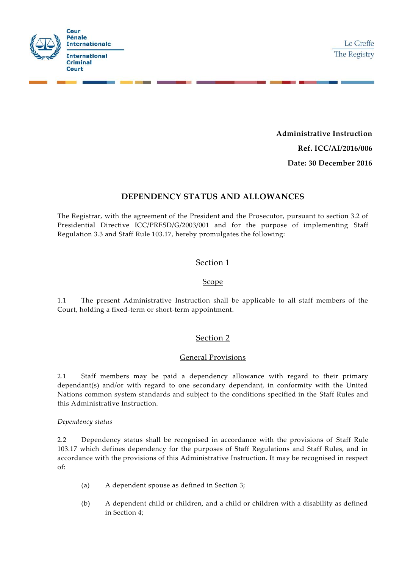

**Administrative Instruction Ref. ICC/AI/2016/006**

**Date: 30 December 2016**

# **DEPENDENCY STATUS AND ALLOWANCES**

The Registrar, with the agreement of the President and the Prosecutor, pursuant to section 3.2 of Presidential Directive ICC/PRESD/G/2003/001 and for the purpose of implementing Staff Regulation 3.3 and Staff Rule 103.17, hereby promulgates the following:

# Section 1

### Scope

1.1 The present Administrative Instruction shall be applicable to all staff members of the Court, holding a fixed-term or short-term appointment.

# Section 2

## General Provisions

2.1 Staff members may be paid a dependency allowance with regard to their primary dependant(s) and/or with regard to one secondary dependant, in conformity with the United Nations common system standards and subject to the conditions specified in the Staff Rules and this Administrative Instruction.

#### *Dependency status*

2.2 Dependency status shall be recognised in accordance with the provisions of Staff Rule 103.17 which defines dependency for the purposes of Staff Regulations and Staff Rules, and in accordance with the provisions of this Administrative Instruction. It may be recognised in respect of:

- (a) A dependent spouse as defined in Section 3;
- (b) A dependent child or children, and a child or children with a disability as defined in Section 4;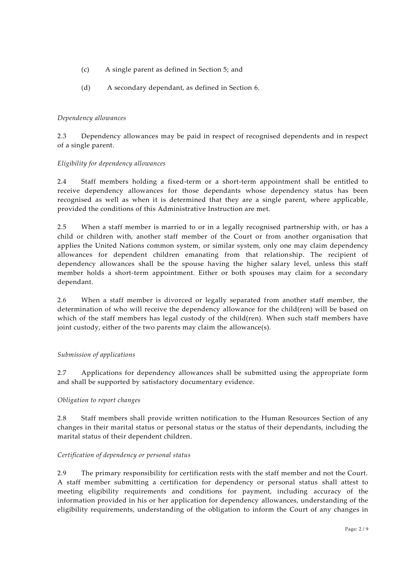- (c) A single parent as defined in Section 5; and
- (d) A secondary dependant, as defined in Section 6.

### *Dependency allowances*

2.3 Dependency allowances may be paid in respect of recognised dependents and in respect of a single parent.

### *Eligibility for dependency allowances*

2.4 Staff members holding a fixed-term or a short-term appointment shall be entitled to receive dependency allowances for those dependants whose dependency status has been recognised as well as when it is determined that they are a single parent, where applicable, provided the conditions of this Administrative Instruction are met.

2.5 When a staff member is married to or in a legally recognised partnership with, or has a child or children with, another staff member of the Court or from another organisation that applies the United Nations common system, or similar system, only one may claim dependency allowances for dependent children emanating from that relationship. The recipient of dependency allowances shall be the spouse having the higher salary level, unless this staff member holds a short-term appointment. Either or both spouses may claim for a secondary dependant.

2.6 When a staff member is divorced or legally separated from another staff member, the determination of who will receive the dependency allowance for the child(ren) will be based on which of the staff members has legal custody of the child(ren). When such staff members have joint custody, either of the two parents may claim the allowance(s).

#### *Submission of applications*

2.7 Applications for dependency allowances shall be submitted using the appropriate form and shall be supported by satisfactory documentary evidence.

#### *Obligation to report changes*

2.8 Staff members shall provide written notification to the Human Resources Section of any changes in their marital status or personal status or the status of their dependants, including the marital status of their dependent children.

#### *Certification of dependency or personal status*

2.9 The primary responsibility for certification rests with the staff member and not the Court. A staff member submitting a certification for dependency or personal status shall attest to meeting eligibility requirements and conditions for payment, including accuracy of the information provided in his or her application for dependency allowances, understanding of the eligibility requirements, understanding of the obligation to inform the Court of any changes in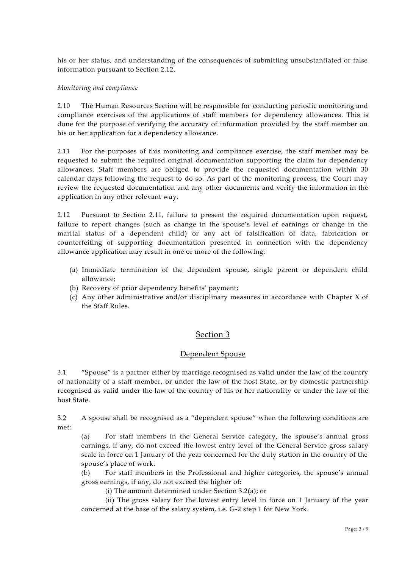his or her status, and understanding of the consequences of submitting unsubstantiated or false information pursuant to Section 2.12.

#### *Monitoring and compliance*

2.10 The Human Resources Section will be responsible for conducting periodic monitoring and compliance exercises of the applications of staff members for dependency allowances. This is done for the purpose of verifying the accuracy of information provided by the staff member on his or her application for a dependency allowance.

2.11 For the purposes of this monitoring and compliance exercise, the staff member may be requested to submit the required original documentation supporting the claim for dependency allowances. Staff members are obliged to provide the requested documentation within 30 calendar days following the request to do so. As part of the monitoring process, the Court may review the requested documentation and any other documents and verify the information in the application in any other relevant way.

2.12 Pursuant to Section 2.11, failure to present the required documentation upon request, failure to report changes (such as change in the spouse's level of earnings or change in the marital status of a dependent child) or any act of falsification of data, fabrication or counterfeiting of supporting documentation presented in connection with the dependency allowance application may result in one or more of the following:

- (a) Immediate termination of the dependent spouse, single parent or dependent child allowance;
- (b) Recovery of prior dependency benefits' payment;
- (c) Any other administrative and/or disciplinary measures in accordance with Chapter X of the Staff Rules.

## Section 3

#### Dependent Spouse

3.1 "Spouse" is a partner either by marriage recognised as valid under the law of the country of nationality of a staff member, or under the law of the host State, or by domestic partnership recognised as valid under the law of the country of his or her nationality or under the law of the host State.

3.2 A spouse shall be recognised as a "dependent spouse" when the following conditions are met:

(a) For staff members in the General Service category, the spouse's annual gross earnings, if any, do not exceed the lowest entry level of the General Service gross sal ary scale in force on 1 January of the year concerned for the duty station in the country of the spouse's place of work.

(b) For staff members in the Professional and higher categories, the spouse's annual gross earnings, if any, do not exceed the higher of:

(i) The amount determined under Section 3.2(a); or

(ii) The gross salary for the lowest entry level in force on 1 January of the year concerned at the base of the salary system, i.e. G-2 step 1 for New York.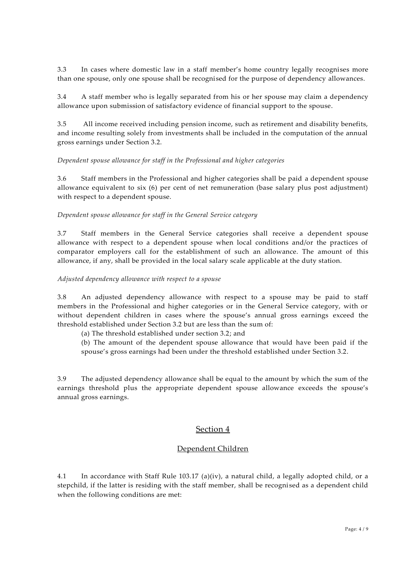3.3 In cases where domestic law in a staff member's home country legally recognises more than one spouse, only one spouse shall be recognised for the purpose of dependency allowances.

3.4 A staff member who is legally separated from his or her spouse may claim a dependency allowance upon submission of satisfactory evidence of financial support to the spouse.

3.5 All income received including pension income, such as retirement and disability benefits, and income resulting solely from investments shall be included in the computation of the annual gross earnings under Section 3.2.

#### *Dependent spouse allowance for staff in the Professional and higher categories*

3.6 Staff members in the Professional and higher categories shall be paid a dependent spouse allowance equivalent to six (6) per cent of net remuneration (base salary plus post adjustment) with respect to a dependent spouse.

#### *Dependent spouse allowance for staff in the General Service category*

3.7 Staff members in the General Service categories shall receive a dependent spouse allowance with respect to a dependent spouse when local conditions and/or the practices of comparator employers call for the establishment of such an allowance. The amount of this allowance, if any, shall be provided in the local salary scale applicable at the duty station.

#### *Adjusted dependency allowance with respect to a spouse*

3.8 An adjusted dependency allowance with respect to a spouse may be paid to staff members in the Professional and higher categories or in the General Service category, with or without dependent children in cases where the spouse's annual gross earnings exceed the threshold established under Section 3.2 but are less than the sum of:

- (a) The threshold established under section 3.2; and
- (b) The amount of the dependent spouse allowance that would have been paid if the spouse's gross earnings had been under the threshold established under Section 3.2.

3.9 The adjusted dependency allowance shall be equal to the amount by which the sum of the earnings threshold plus the appropriate dependent spouse allowance exceeds the spouse's annual gross earnings.

#### Section 4

## Dependent Children

4.1 In accordance with Staff Rule 103.17 (a)(iv), a natural child, a legally adopted child, or a stepchild, if the latter is residing with the staff member, shall be recognised as a dependent child when the following conditions are met: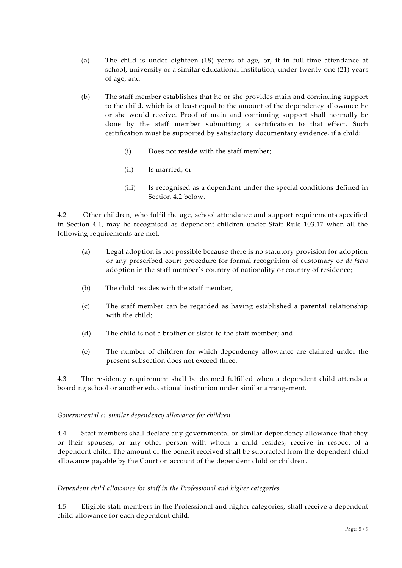- (a) The child is under eighteen (18) years of age, or, if in full-time attendance at school, university or a similar educational institution, under twenty-one (21) years of age; and
- (b) The staff member establishes that he or she provides main and continuing support to the child, which is at least equal to the amount of the dependency allowance he or she would receive. Proof of main and continuing support shall normally be done by the staff member submitting a certification to that effect. Such certification must be supported by satisfactory documentary evidence, if a child:
	- (i) Does not reside with the staff member;
	- (ii) Is married; or
	- (iii) Is recognised as a dependant under the special conditions defined in Section 4.2 below.

4.2 Other children, who fulfil the age, school attendance and support requirements specified in Section 4.1, may be recognised as dependent children under Staff Rule 103.17 when all the following requirements are met:

- (a) Legal adoption is not possible because there is no statutory provision for adoption or any prescribed court procedure for formal recognition of customary or *de facto* adoption in the staff member's country of nationality or country of residence;
- (b) The child resides with the staff member;
- (c) The staff member can be regarded as having established a parental relationship with the child;
- (d) The child is not a brother or sister to the staff member; and
- (e) The number of children for which dependency allowance are claimed under the present subsection does not exceed three.

4.3 The residency requirement shall be deemed fulfilled when a dependent child attends a boarding school or another educational institution under similar arrangement.

#### *Governmental or similar dependency allowance for children*

4.4 Staff members shall declare any governmental or similar dependency allowance that they or their spouses, or any other person with whom a child resides, receive in respect of a dependent child. The amount of the benefit received shall be subtracted from the dependent child allowance payable by the Court on account of the dependent child or children.

#### *Dependent child allowance for staff in the Professional and higher categories*

4.5 Eligible staff members in the Professional and higher categories, shall receive a dependent child allowance for each dependent child.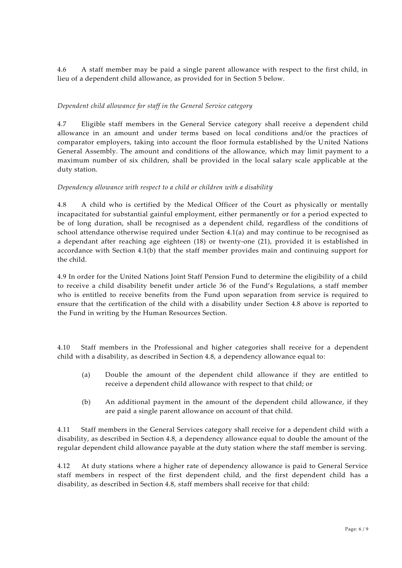4.6 A staff member may be paid a single parent allowance with respect to the first child, in lieu of a dependent child allowance, as provided for in Section 5 below.

### *Dependent child allowance for staff in the General Service category*

4.7 Eligible staff members in the General Service category shall receive a dependent child allowance in an amount and under terms based on local conditions and/or the practices of comparator employers, taking into account the floor formula established by the United Nations General Assembly. The amount and conditions of the allowance, which may limit payment to a maximum number of six children, shall be provided in the local salary scale applicable at the duty station.

#### *Dependency allowance with respect to a child or children with a disability*

4.8 A child who is certified by the Medical Officer of the Court as physically or mentally incapacitated for substantial gainful employment, either permanently or for a period expected to be of long duration, shall be recognised as a dependent child, regardless of the conditions of school attendance otherwise required under Section 4.1(a) and may continue to be recognised as a dependant after reaching age eighteen (18) or twenty-one (21), provided it is established in accordance with Section 4.1(b) that the staff member provides main and continuing support for the child.

4.9 In order for the United Nations Joint Staff Pension Fund to determine the eligibility of a child to receive a child disability benefit under article 36 of the Fund's Regulations, a staff member who is entitled to receive benefits from the Fund upon separation from service is required to ensure that the certification of the child with a disability under Section 4.8 above is reported to the Fund in writing by the Human Resources Section.

4.10 Staff members in the Professional and higher categories shall receive for a dependent child with a disability, as described in Section 4.8, a dependency allowance equal to:

- (a) Double the amount of the dependent child allowance if they are entitled to receive a dependent child allowance with respect to that child; or
- (b) An additional payment in the amount of the dependent child allowance, if they are paid a single parent allowance on account of that child.

4.11 Staff members in the General Services category shall receive for a dependent child with a disability, as described in Section 4.8, a dependency allowance equal to double the amount of the regular dependent child allowance payable at the duty station where the staff member is serving.

4.12 At duty stations where a higher rate of dependency allowance is paid to General Service staff members in respect of the first dependent child, and the first dependent child has a disability, as described in Section 4.8, staff members shall receive for that child: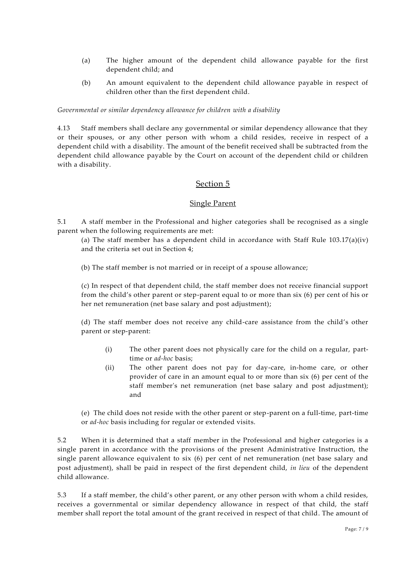- (a) The higher amount of the dependent child allowance payable for the first dependent child; and
- (b) An amount equivalent to the dependent child allowance payable in respect of children other than the first dependent child.

*Governmental or similar dependency allowance for children with a disability*

4.13 Staff members shall declare any governmental or similar dependency allowance that they or their spouses, or any other person with whom a child resides, receive in respect of a dependent child with a disability. The amount of the benefit received shall be subtracted from the dependent child allowance payable by the Court on account of the dependent child or children with a disability.

## Section 5

#### Single Parent

5.1 A staff member in the Professional and higher categories shall be recognised as a single parent when the following requirements are met:

(a) The staff member has a dependent child in accordance with Staff Rule  $103.17(a)(iv)$ and the criteria set out in Section 4;

(b) The staff member is not married or in receipt of a spouse allowance;

(c) In respect of that dependent child, the staff member does not receive financial support from the child's other parent or step-parent equal to or more than six (6) per cent of his or her net remuneration (net base salary and post adjustment);

(d) The staff member does not receive any child-care assistance from the child's other parent or step-parent:

- (i) The other parent does not physically care for the child on a regular, parttime or *ad-hoc* basis;
- (ii) The other parent does not pay for day-care, in-home care, or other provider of care in an amount equal to or more than six (6) per cent of the staff member's net remuneration (net base salary and post adjustment); and

(e) The child does not reside with the other parent or step-parent on a full-time, part-time or *ad-hoc* basis including for regular or extended visits.

5.2 When it is determined that a staff member in the Professional and higher categories is a single parent in accordance with the provisions of the present Administrative Instruction, the single parent allowance equivalent to six (6) per cent of net remuneration (net base salary and post adjustment), shall be paid in respect of the first dependent child, *in lieu* of the dependent child allowance.

5.3 If a staff member, the child's other parent, or any other person with whom a child resides, receives a governmental or similar dependency allowance in respect of that child, the staff member shall report the total amount of the grant received in respect of that child. The amount of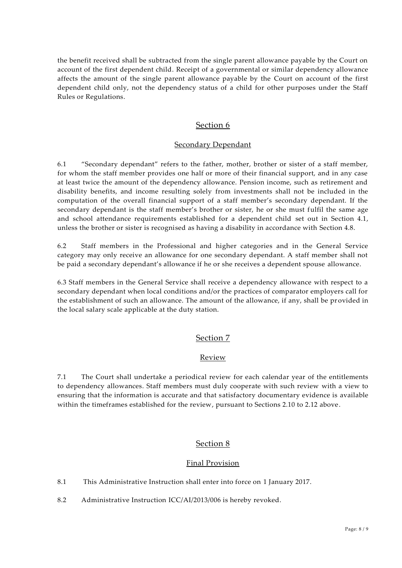the benefit received shall be subtracted from the single parent allowance payable by the Court on account of the first dependent child. Receipt of a governmental or similar dependency allowance affects the amount of the single parent allowance payable by the Court on account of the first dependent child only, not the dependency status of a child for other purposes under the Staff Rules or Regulations.

# Section 6

### Secondary Dependant

6.1 "Secondary dependant" refers to the father, mother, brother or sister of a staff member, for whom the staff member provides one half or more of their financial support, and in any case at least twice the amount of the dependency allowance. Pension income, such as retirement and disability benefits, and income resulting solely from investments shall not be included in the computation of the overall financial support of a staff member's secondary dependant. If the secondary dependant is the staff member's brother or sister, he or she must fulfil the same age and school attendance requirements established for a dependent child set out in Section 4.1, unless the brother or sister is recognised as having a disability in accordance with Section 4.8.

6.2 Staff members in the Professional and higher categories and in the General Service category may only receive an allowance for one secondary dependant. A staff member shall not be paid a secondary dependant's allowance if he or she receives a dependent spouse allowance.

6.3 Staff members in the General Service shall receive a dependency allowance with respect to a secondary dependant when local conditions and/or the practices of comparator employers call for the establishment of such an allowance. The amount of the allowance, if any, shall be provided in the local salary scale applicable at the duty station.

## Section 7

#### Review

7.1 The Court shall undertake a periodical review for each calendar year of the entitlements to dependency allowances. Staff members must duly cooperate with such review with a view to ensuring that the information is accurate and that satisfactory documentary evidence is available within the timeframes established for the review, pursuant to Sections 2.10 to 2.12 above.

## Section 8

## Final Provision

8.1 This Administrative Instruction shall enter into force on 1 January 2017.

8.2 Administrative Instruction ICC/AI/2013/006 is hereby revoked.